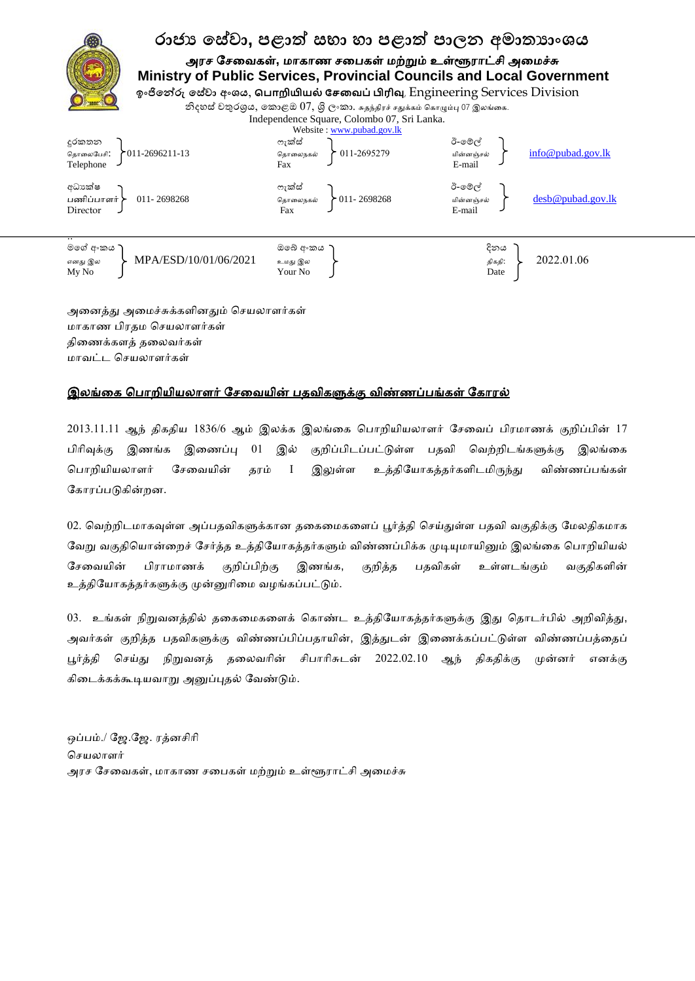## **රාජ්ය ේව ලා, පළාත් වභා හා පළාත් පාන අමාත්යාාංය**

அரச சேவைகள், மாகாண சபைகள் மற்றும் உள்ளூராட்சி அமைச்சு  **Ministry of Public Services, Provincial Councils and Local Government** 

 **ඉාංජිේේරු ේව ලා අාංය**, **ப ொறியியல் சேவை ்பிரிவு**, Engineering Services Division

නිදහස් චතුරශුය, කොළඔ  $07$ , ශි $\,$  ල $^{\circ}$ කා. சுதந்திரச் சதுக்கம் கொழும்பு 07 இலங்கை. Independence Square, Colombo 07, Sri Lanka.



அனைத்து அமைச்சுக்களினதும் செயலாளர்கள் மாகாண பிரதம செயலாளர்கள் திவணக்கத் தவயர்கள் மாவட்ட செயலாளர்கள்

## <u>இலங்கை பொறியியலாளர் சேவையின் பதவிகளுக்கு விண்ணப்பங்கள் கோரல்</u>

 $2013.11.11$  ஆந் திகதிய  $1836/6$  ஆம் இலக்க இலங்கை பொறியியலாளர் சேவைப் பிரமாணக் குறிப்பின்  $17$ பிரிவுக்கு இணங்க இணைப்பு 01 இல் குறிப்பிடப்பட்டுள்ள பதவி வெற்றிடங்களுக்கு இலங்கை பொறியியலாளர் சேவையின் தரம் I இலுள்ள உத்தியோகத்தர்களிடமிருந்து விண்ணப்பங்கள் கோரப்படுகின்றன.

02. வெற்றிடமாகவுள்ள அப்பதவிகளுக்கான தகைமைகளைப் பூர்த்தி செய்துள்ள பதவி வகுதிக்கு மேலதிகமாக வேறு வகுதியொன்றைச் சேர்த்த உத்தியோகத்தர்களும் விண்ணப்பிக்க முடியுமாயினும் இலங்கை பொறியியல் சேவையின் பிராமாணக் குறிப்பிற்கு இணங்க, குறித்த பதவிகள் உள்ளடங்கும் வகுதிகளின் உத்தியோகத்தர்களுக்கு முன்னுரிமை வழங்கப்பட்டும்.

03. உங்கள் நிறுவனத்தில் தகைமைகளைக் கொண்ட உத்தியோகத்தர்களுக்கு இது தொடர்பில் அறிவித்து, அவர்கள் குறித்த பதவிகளுக்கு விண்ணப்பிப்பதாயின், இத்துடன் இணைக்கப்பட்டுள்ள விண்ணப்பத்தைப் பூர்த்தி செய்து நிறுவனத் தலைவரின் சிபாரிசுடன் 2022.02.10 ஆந் திகதிக்கு முன்னர் எனக்கு கிடைக்கக்கூடியவாறு அனுப்புதல் வேண்டும்.

ஒப்பம்./ ஜே.ஜே. ரத்னசிரி செயலாளர் அரச சேவைகள், மாகாண சபைகள் மற்றும் உள்ளூராட்சி அமைச்சு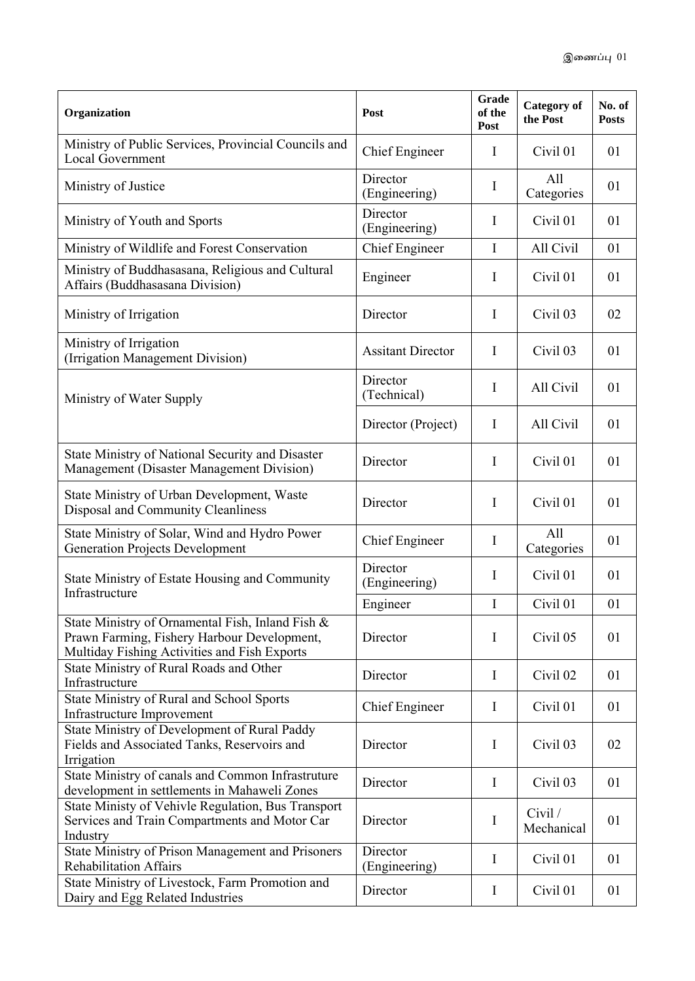| Organization                                                                                                                                    | Post                      | Grade<br>of the<br>Post | <b>Category</b> of<br>the Post | No. of<br><b>Posts</b> |
|-------------------------------------------------------------------------------------------------------------------------------------------------|---------------------------|-------------------------|--------------------------------|------------------------|
| Ministry of Public Services, Provincial Councils and<br><b>Local Government</b>                                                                 | Chief Engineer            | $\mathbf I$             | Civil 01                       | 01                     |
| Ministry of Justice                                                                                                                             | Director<br>(Engineering) | $\mathbf I$             | All<br>Categories              | 01                     |
| Ministry of Youth and Sports                                                                                                                    | Director<br>(Engineering) | $\mathbf I$             | Civil 01                       | 01                     |
| Ministry of Wildlife and Forest Conservation                                                                                                    | <b>Chief Engineer</b>     | $\mathbf I$             | All Civil                      | 01                     |
| Ministry of Buddhasasana, Religious and Cultural<br>Affairs (Buddhasasana Division)                                                             | Engineer                  | I                       | Civil 01                       | 01                     |
| Ministry of Irrigation                                                                                                                          | Director                  | $\mathbf I$             | Civil 03                       | 02                     |
| Ministry of Irrigation<br>(Irrigation Management Division)                                                                                      | <b>Assitant Director</b>  | $\mathbf I$             | Civil 03                       | 01                     |
| Ministry of Water Supply                                                                                                                        | Director<br>(Technical)   | $\mathbf I$             | All Civil                      | 01                     |
|                                                                                                                                                 | Director (Project)        | $\mathbf I$             | All Civil                      | 01                     |
| State Ministry of National Security and Disaster<br>Management (Disaster Management Division)                                                   | Director                  | $\mathbf I$             | Civil 01                       | 01                     |
| State Ministry of Urban Development, Waste<br>Disposal and Community Cleanliness                                                                | Director                  | $\mathbf I$             | Civil 01                       | 01                     |
| State Ministry of Solar, Wind and Hydro Power<br><b>Generation Projects Development</b>                                                         | <b>Chief Engineer</b>     | $\bf{I}$                | All<br>Categories              | 01                     |
| State Ministry of Estate Housing and Community<br>Infrastructure                                                                                | Director<br>(Engineering) | I                       | Civil 01                       | 01                     |
|                                                                                                                                                 | Engineer                  | $\mathbf I$             | Civil 01                       | 01                     |
| State Ministry of Ornamental Fish, Inland Fish &<br>Prawn Farming, Fishery Harbour Development,<br>Multiday Fishing Activities and Fish Exports | Director                  | $\mathbf I$             | Civil 05                       | 01                     |
| State Ministry of Rural Roads and Other<br>Infrastructure                                                                                       | Director                  | $\mathbf I$             | Civil 02                       | 01                     |
| State Ministry of Rural and School Sports<br>Infrastructure Improvement                                                                         | <b>Chief Engineer</b>     | $\bf{I}$                | Civil 01                       | 01                     |
| State Ministry of Development of Rural Paddy<br>Fields and Associated Tanks, Reservoirs and<br>Irrigation                                       | Director                  | I                       | Civil 03                       | 02                     |
| State Ministry of canals and Common Infrastruture<br>development in settlements in Mahaweli Zones                                               | Director                  | $\mathbf I$             | Civil 03                       | 01                     |
| State Ministy of Vehivle Regulation, Bus Transport<br>Services and Train Compartments and Motor Car<br>Industry                                 | Director                  | $\bf{I}$                | Civil /<br>Mechanical          | 01                     |
| State Ministry of Prison Management and Prisoners<br><b>Rehabilitation Affairs</b>                                                              | Director<br>(Engineering) | $\mathbf I$             | Civil 01                       | 01                     |
| State Ministry of Livestock, Farm Promotion and<br>Dairy and Egg Related Industries                                                             | Director                  | $\bf{I}$                | Civil 01                       | 01                     |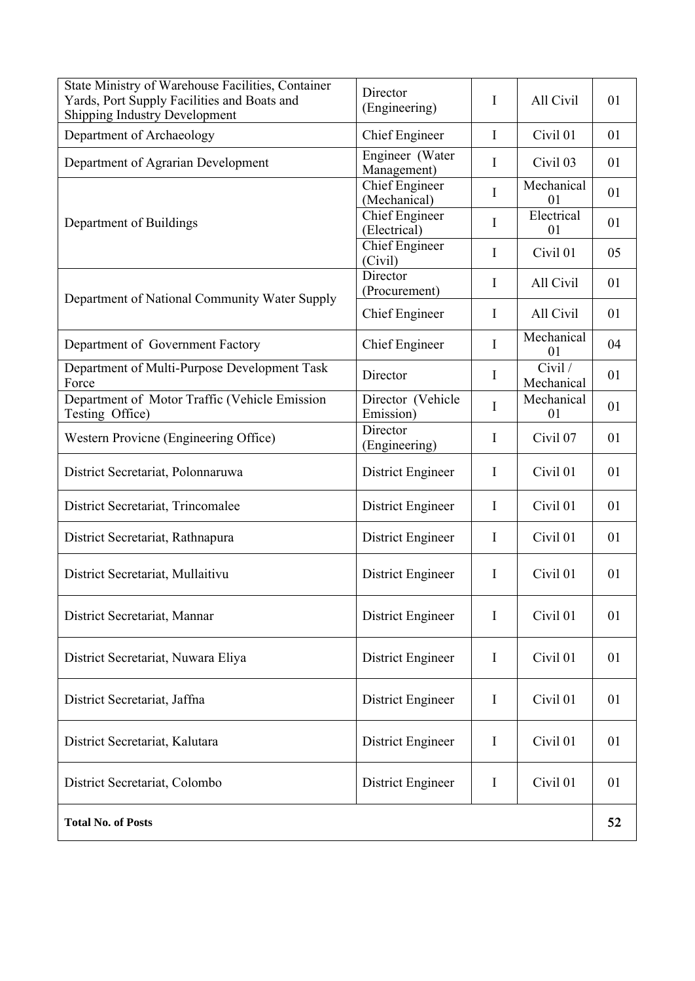| State Ministry of Warehouse Facilities, Container<br>Yards, Port Supply Facilities and Boats and<br><b>Shipping Industry Development</b> | Director<br>(Engineering)             | Ι           | All Civil             | 01 |
|------------------------------------------------------------------------------------------------------------------------------------------|---------------------------------------|-------------|-----------------------|----|
| Department of Archaeology                                                                                                                | <b>Chief Engineer</b>                 | I           | Civil 01              | 01 |
| Department of Agrarian Development                                                                                                       | Engineer (Water<br>Ι<br>Management)   |             | Civil 03              | 01 |
|                                                                                                                                          | <b>Chief Engineer</b><br>(Mechanical) | I           | Mechanical<br>01      | 01 |
| Department of Buildings                                                                                                                  | <b>Chief Engineer</b><br>(Electrical) | I           | Electrical<br>01      | 01 |
|                                                                                                                                          | Chief Engineer<br>(Civil)             | I           | Civil 01              | 05 |
| Department of National Community Water Supply                                                                                            | Director<br>(Procurement)             | I           | All Civil             | 01 |
|                                                                                                                                          | <b>Chief Engineer</b>                 | I           | All Civil             | 01 |
| Department of Government Factory                                                                                                         | <b>Chief Engineer</b>                 | I           | Mechanical<br>01      | 04 |
| Department of Multi-Purpose Development Task<br>Force                                                                                    | Director                              | Ι           | Civil /<br>Mechanical | 01 |
| Department of Motor Traffic (Vehicle Emission<br>Testing Office)                                                                         | Director (Vehicle<br>Emission)        | I           | Mechanical<br>01      | 01 |
| Western Provicne (Engineering Office)                                                                                                    | Director<br>(Engineering)             | I           | Civil 07              | 01 |
| District Secretariat, Polonnaruwa                                                                                                        | District Engineer                     | I           | Civil 01              | 01 |
| District Secretariat, Trincomalee                                                                                                        | District Engineer                     | Ι           | Civil 01              | 01 |
| District Secretariat, Rathnapura                                                                                                         | District Engineer                     | I           | Civil 01              | 01 |
| District Secretariat, Mullaitivu                                                                                                         | District Engineer                     | I           | Civil 01              | 01 |
| District Secretariat, Mannar                                                                                                             | District Engineer                     | $\mathbf I$ | Civil 01              | 01 |
| District Secretariat, Nuwara Eliya                                                                                                       | District Engineer                     | $\bf{I}$    | Civil 01              | 01 |
| District Secretariat, Jaffna                                                                                                             | <b>District Engineer</b>              | I           | Civil 01              | 01 |
| District Secretariat, Kalutara                                                                                                           | District Engineer                     | I           | Civil 01              | 01 |
| District Secretariat, Colombo                                                                                                            | District Engineer                     | $\mathbf I$ | Civil 01              | 01 |
| <b>Total No. of Posts</b>                                                                                                                |                                       |             |                       | 52 |